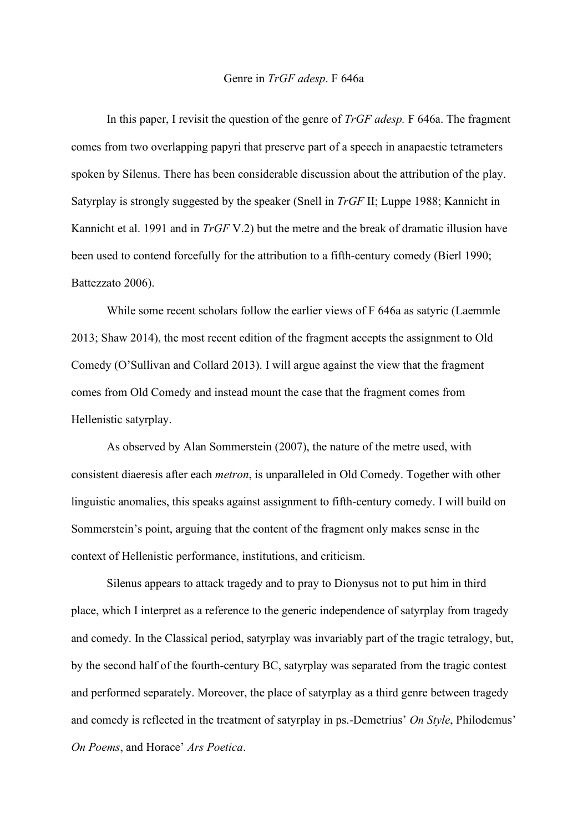## Genre in *TrGF adesp*. F 646a

In this paper, I revisit the question of the genre of *TrGF adesp.* F 646a. The fragment comes from two overlapping papyri that preserve part of a speech in anapaestic tetrameters spoken by Silenus. There has been considerable discussion about the attribution of the play. Satyrplay is strongly suggested by the speaker (Snell in *TrGF* II; Luppe 1988; Kannicht in Kannicht et al. 1991 and in *TrGF* V.2) but the metre and the break of dramatic illusion have been used to contend forcefully for the attribution to a fifth-century comedy (Bierl 1990; Battezzato 2006).

While some recent scholars follow the earlier views of F 646a as satyric (Laemmle 2013; Shaw 2014), the most recent edition of the fragment accepts the assignment to Old Comedy (O'Sullivan and Collard 2013). I will argue against the view that the fragment comes from Old Comedy and instead mount the case that the fragment comes from Hellenistic satyrplay.

As observed by Alan Sommerstein (2007), the nature of the metre used, with consistent diaeresis after each *metron*, is unparalleled in Old Comedy. Together with other linguistic anomalies, this speaks against assignment to fifth-century comedy. I will build on Sommerstein's point, arguing that the content of the fragment only makes sense in the context of Hellenistic performance, institutions, and criticism.

Silenus appears to attack tragedy and to pray to Dionysus not to put him in third place, which I interpret as a reference to the generic independence of satyrplay from tragedy and comedy. In the Classical period, satyrplay was invariably part of the tragic tetralogy, but, by the second half of the fourth-century BC, satyrplay was separated from the tragic contest and performed separately. Moreover, the place of satyrplay as a third genre between tragedy and comedy is reflected in the treatment of satyrplay in ps.-Demetrius' *On Style*, Philodemus' *On Poems*, and Horace' *Ars Poetica*.